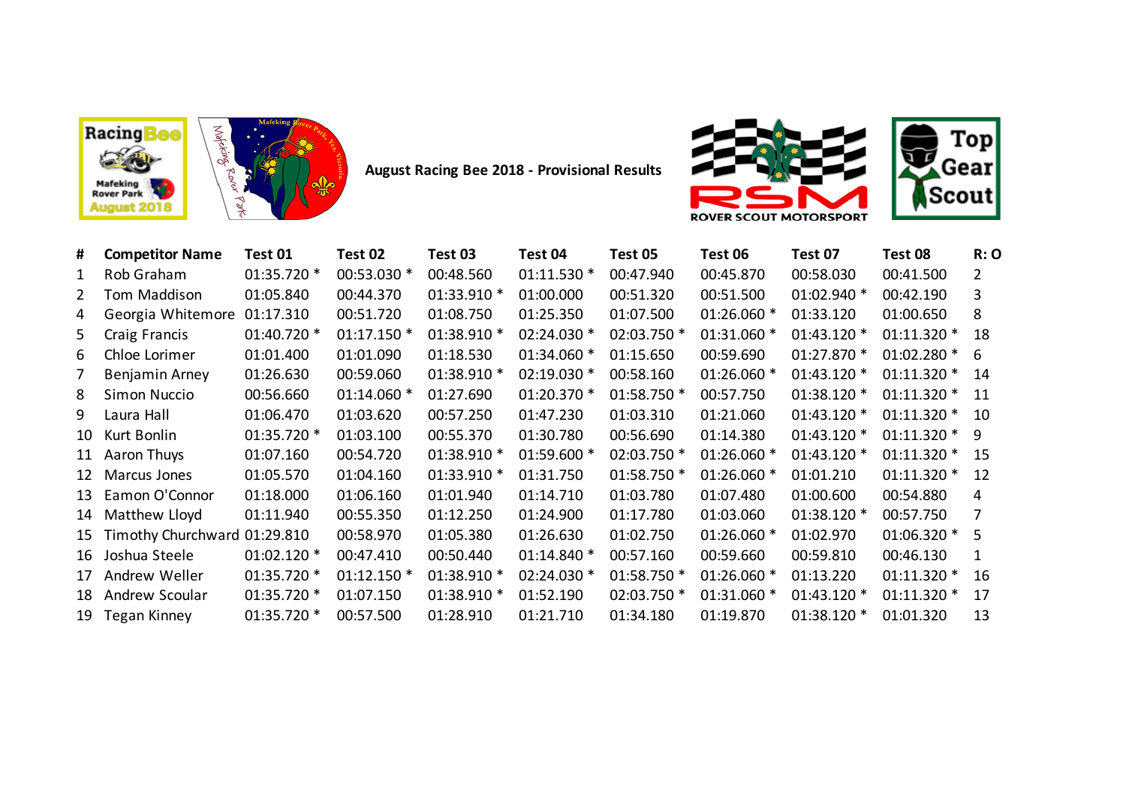



**August Racing Bee 2018 - Provisional Results**



| #            | <b>Competitor Name</b>          | Test 01     | Test 02      | Test 03     | Test 04     | Test 05     | Test 06     | Test 07     | Test 08       | R:O                   |
|--------------|---------------------------------|-------------|--------------|-------------|-------------|-------------|-------------|-------------|---------------|-----------------------|
| 1            | Rob Graham                      | 01:35.720 * | 00:53.030 *  | 00:48.560   | 01:11.530 * | 00:47.940   | 00:45.870   | 00:58.030   | 00:41.500     | $\mathbf{2}^{\prime}$ |
| $\mathbf{2}$ | Tom Maddison                    | 01:05.840   | 00:44.370    | 01:33.910 * | 01:00.000   | 00:51.320   | 00:51.500   | 01:02.940 * | 00:42.190     | 3                     |
| 4            | Georgia Whitemore               | 01:17.310   | 00:51.720    | 01:08.750   | 01:25.350   | 01:07.500   | 01:26.060 * | 01:33.120   | 01:00.650     | 8                     |
| 5            | Craig Francis                   | 01:40.720 * | $01:17.150*$ | 01:38.910 * | 02:24.030 * | 02:03.750 * | 01:31.060 * | 01:43.120 * | $01:11.320*$  | 18                    |
| 6            | Chloe Lorimer                   | 01:01.400   | 01:01.090    | 01:18.530   | 01:34.060 * | 01:15.650   | 00:59.690   | 01:27.870 * | $01:02.280$ * | -6                    |
| 7            | Benjamin Arney                  | 01:26.630   | 00:59.060    | 01:38.910 * | 02:19.030 * | 00:58.160   | 01:26.060 * | 01:43.120 * | $01:11.320*$  | 14                    |
| 8            | Simon Nuccio                    | 00:56.660   | 01:14.060 *  | 01:27.690   | 01:20.370 * | 01:58.750 * | 00:57.750   | 01:38.120 * | 01:11.320 *   | 11                    |
| 9            | Laura Hall                      | 01:06.470   | 01:03.620    | 00:57.250   | 01:47.230   | 01:03.310   | 01:21.060   | 01:43.120 * | $01:11.320*$  | 10                    |
|              | 10 Kurt Bonlin                  | 01:35.720 * | 01:03.100    | 00:55.370   | 01:30.780   | 00:56.690   | 01:14.380   | 01:43.120 * | $01:11.320*$  | -9                    |
|              | 11 Aaron Thuys                  | 01:07.160   | 00:54.720    | 01:38.910 * | 01:59.600 * | 02:03.750 * | 01:26.060 * | 01:43.120 * | $01:11.320*$  | 15                    |
|              | 12 Marcus Jones                 | 01:05.570   | 01:04.160    | 01:33.910 * | 01:31.750   | 01:58.750 * | 01:26.060 * | 01:01.210   | 01:11.320 *   | 12                    |
|              | 13 Eamon O'Connor               | 01:18.000   | 01:06.160    | 01:01.940   | 01:14.710   | 01:03.780   | 01:07.480   | 01:00.600   | 00:54.880     | 4                     |
|              | 14 Matthew Lloyd                | 01:11.940   | 00:55.350    | 01:12.250   | 01:24.900   | 01:17.780   | 01:03.060   | 01:38.120 * | 00:57.750     | 7                     |
|              | 15 Timothy Churchward 01:29.810 |             | 00:58.970    | 01:05.380   | 01:26.630   | 01:02.750   | 01:26.060 * | 01:02.970   | $01:06.320$ * | .5.                   |
|              | 16 Joshua Steele                | 01:02.120 * | 00:47.410    | 00:50.440   | 01:14.840 * | 00:57.160   | 00:59.660   | 00:59.810   | 00:46.130     | 1                     |
|              | 17 Andrew Weller                | 01:35.720 * | $01:12.150*$ | 01:38.910 * | 02:24.030 * | 01:58.750 * | 01:26.060 * | 01:13.220   | 01:11.320 *   | 16                    |
|              | 18 Andrew Scoular               | 01:35.720 * | 01:07.150    | 01:38.910 * | 01:52.190   | 02:03.750 * | 01:31.060 * | 01:43.120 * | 01:11.320 *   | 17                    |
|              | 19 Tegan Kinney                 | 01:35.720 * | 00:57.500    | 01:28.910   | 01:21.710   | 01:34.180   | 01:19.870   | 01:38.120 * | 01:01.320     | 13                    |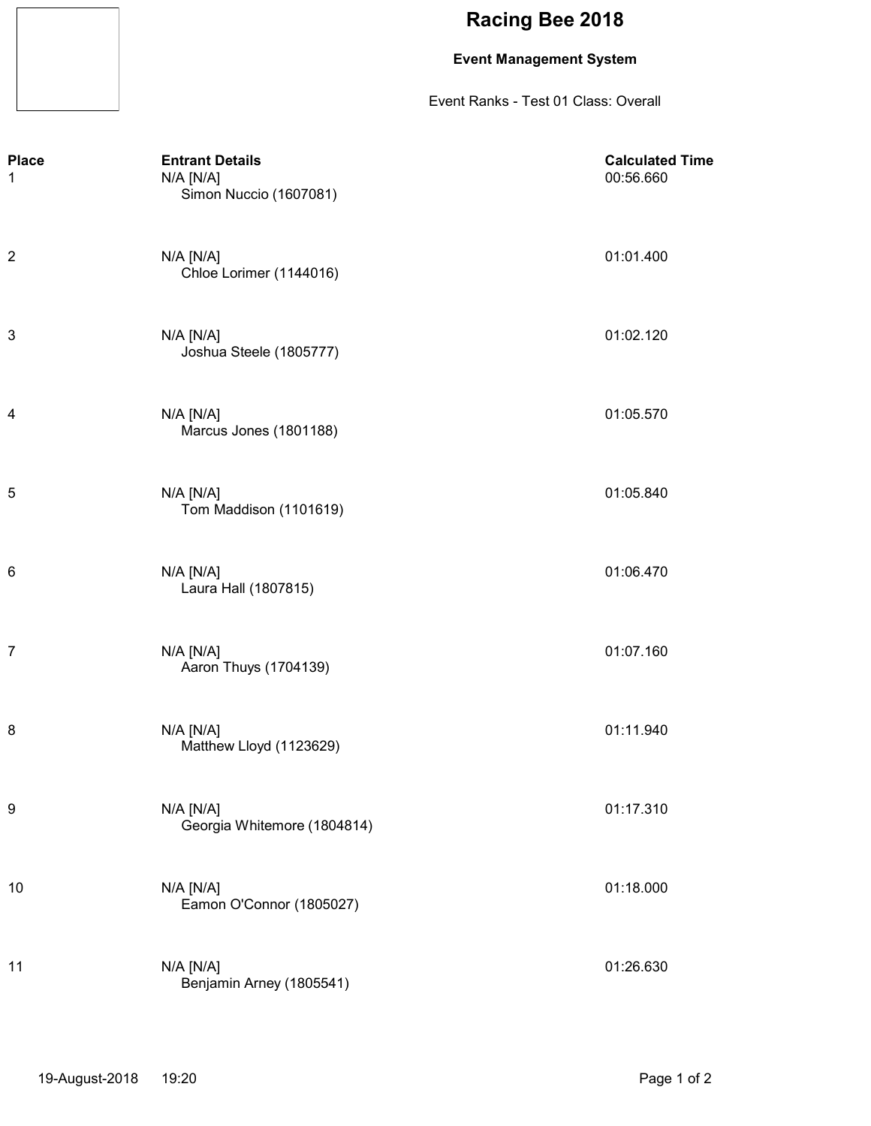### **Event Management System**

Event Ranks - Test 01 Class: Overall

| <b>Place</b><br>1 | <b>Entrant Details</b><br>$N/A$ $[N/A]$<br>Simon Nuccio (1607081) | <b>Calculated Time</b><br>00:56.660 |
|-------------------|-------------------------------------------------------------------|-------------------------------------|
| 2                 | $N/A$ $[N/A]$<br>Chloe Lorimer (1144016)                          | 01:01.400                           |
| 3                 | N/A [N/A]<br>Joshua Steele (1805777)                              | 01:02.120                           |
| 4                 | $N/A$ $[N/A]$<br>Marcus Jones (1801188)                           | 01:05.570                           |
| 5                 | $N/A$ $[N/A]$<br>Tom Maddison (1101619)                           | 01:05.840                           |
| 6                 | $N/A$ $[N/A]$<br>Laura Hall (1807815)                             | 01:06.470                           |
| 7                 | N/A [N/A]<br>Aaron Thuys (1704139)                                | 01:07.160                           |
| 8                 | $N/A$ $[N/A]$<br>Matthew Lloyd (1123629)                          | 01:11.940                           |
| 9                 | N/A [N/A]<br>Georgia Whitemore (1804814)                          | 01:17.310                           |
| 10                | $N/A$ $[N/A]$<br>Eamon O'Connor (1805027)                         | 01:18.000                           |
| 11                | N/A [N/A]<br>Benjamin Arney (1805541)                             | 01:26.630                           |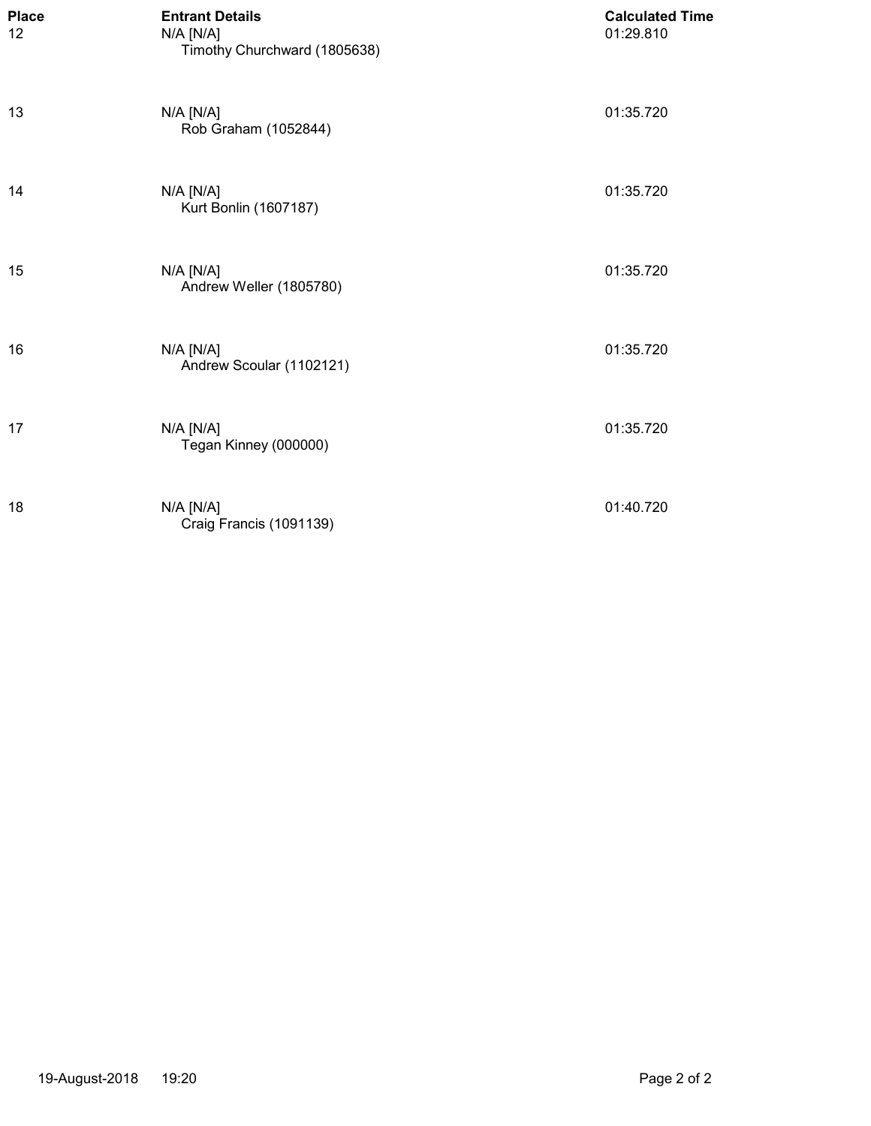| <b>Place</b><br>12 | <b>Entrant Details</b><br>$N/A$ $[N/A]$<br>Timothy Churchward (1805638) | <b>Calculated Time</b><br>01:29.810 |
|--------------------|-------------------------------------------------------------------------|-------------------------------------|
| 13                 | N/A [N/A]<br>Rob Graham (1052844)                                       | 01:35.720                           |
| 14                 | N/A [N/A]<br>Kurt Bonlin (1607187)                                      | 01:35.720                           |
| 15                 | $N/A$ $[N/A]$<br>Andrew Weller (1805780)                                | 01:35.720                           |
| 16                 | $N/A$ $[N/A]$<br>Andrew Scoular (1102121)                               | 01:35.720                           |
| 17                 | N/A [N/A]<br>Tegan Kinney (000000)                                      | 01:35.720                           |
| 18                 | $N/A$ $[N/A]$<br>Craig Francis (1091139)                                | 01:40.720                           |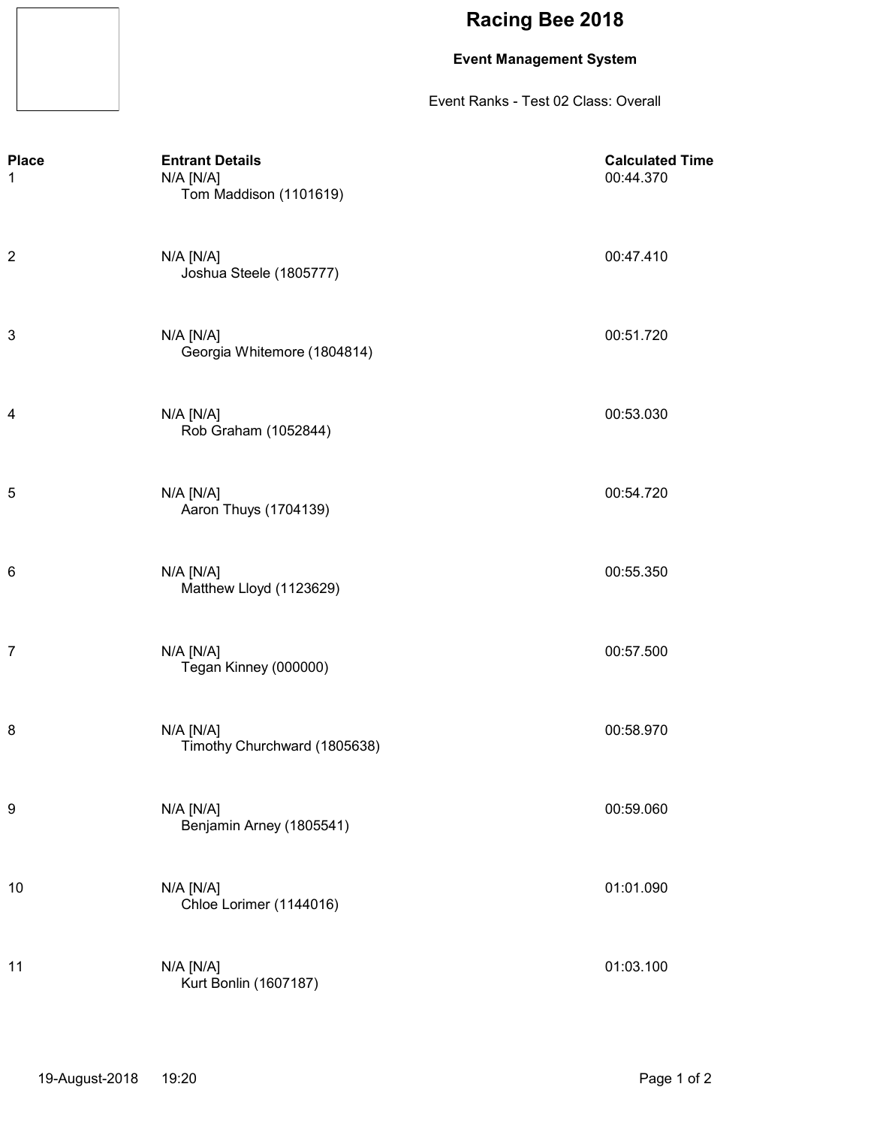### **Event Management System**

Event Ranks - Test 02 Class: Overall

| <b>Place</b><br>1 | <b>Entrant Details</b><br>N/A [N/A]<br>Tom Maddison (1101619) | <b>Calculated Time</b><br>00:44.370 |
|-------------------|---------------------------------------------------------------|-------------------------------------|
| 2                 | $N/A$ $[N/A]$<br>Joshua Steele (1805777)                      | 00:47.410                           |
| 3                 | $N/A$ $[N/A]$<br>Georgia Whitemore (1804814)                  | 00:51.720                           |
| 4                 | $N/A$ $[N/A]$<br>Rob Graham (1052844)                         | 00:53.030                           |
| 5                 | $N/A$ $[N/A]$<br>Aaron Thuys (1704139)                        | 00:54.720                           |
| 6                 | N/A [N/A]<br>Matthew Lloyd (1123629)                          | 00:55.350                           |
| 7                 | $N/A$ $[N/A]$<br>Tegan Kinney (000000)                        | 00:57.500                           |
| 8                 | $N/A$ $[N/A]$<br>Timothy Churchward (1805638)                 | 00:58.970                           |
| 9                 | N/A [N/A]<br>Benjamin Arney (1805541)                         | 00:59.060                           |
| 10                | $N/A$ $[N/A]$<br>Chloe Lorimer (1144016)                      | 01:01.090                           |
| 11                | $N/A$ $[N/A]$<br>Kurt Bonlin (1607187)                        | 01:03.100                           |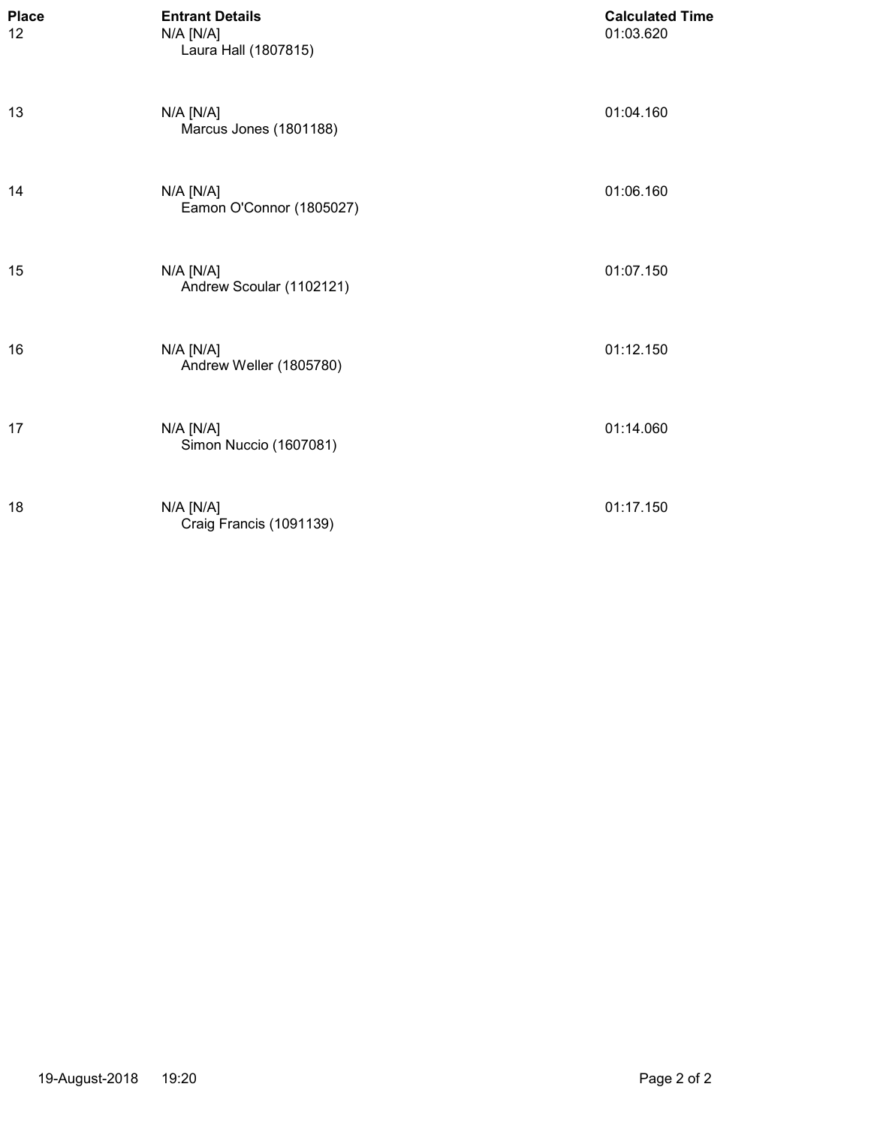| <b>Place</b><br>12 | <b>Entrant Details</b><br>N/A [N/A]<br>Laura Hall (1807815) | <b>Calculated Time</b><br>01:03.620 |
|--------------------|-------------------------------------------------------------|-------------------------------------|
| 13                 | N/A [N/A]<br>Marcus Jones (1801188)                         | 01:04.160                           |
| 14                 | N/A [N/A]<br>Eamon O'Connor (1805027)                       | 01:06.160                           |
| 15                 | N/A [N/A]<br>Andrew Scoular (1102121)                       | 01:07.150                           |
| 16                 | $N/A$ $[N/A]$<br>Andrew Weller (1805780)                    | 01:12.150                           |
| 17                 | $N/A$ $[N/A]$<br>Simon Nuccio (1607081)                     | 01:14.060                           |
| 18                 | $N/A$ $[N/A]$<br>Craig Francis (1091139)                    | 01:17.150                           |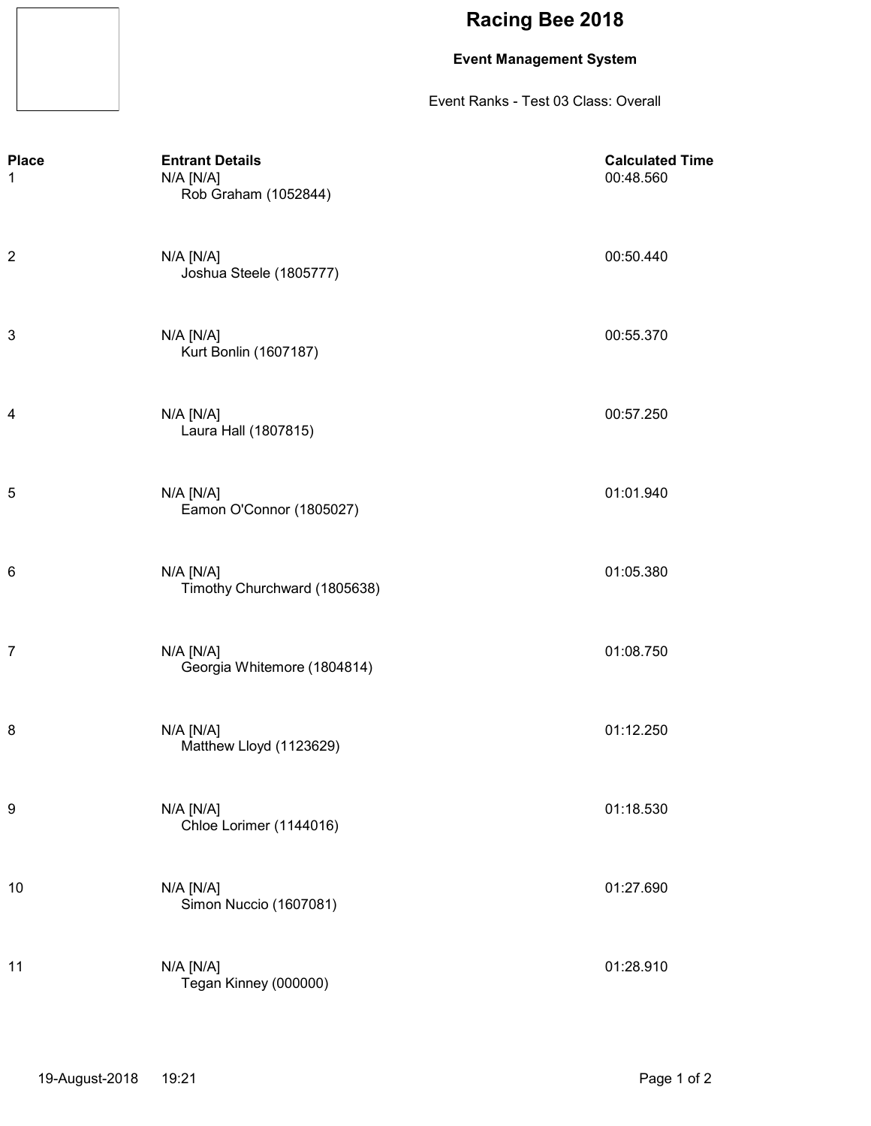### **Event Management System**

Event Ranks - Test 03 Class: Overall

| <b>Place</b><br>1 | <b>Entrant Details</b><br>N/A [N/A]<br>Rob Graham (1052844) | <b>Calculated Time</b><br>00:48.560 |
|-------------------|-------------------------------------------------------------|-------------------------------------|
| $\overline{c}$    | $N/A$ $[N/A]$<br>Joshua Steele (1805777)                    | 00:50.440                           |
| 3                 | $N/A$ $[N/A]$<br>Kurt Bonlin (1607187)                      | 00:55.370                           |
| 4                 | $N/A$ $[N/A]$<br>Laura Hall (1807815)                       | 00:57.250                           |
| 5                 | $N/A$ $[N/A]$<br>Eamon O'Connor (1805027)                   | 01:01.940                           |
| 6                 | $N/A$ $[N/A]$<br>Timothy Churchward (1805638)               | 01:05.380                           |
| $\overline{7}$    | $N/A$ $[N/A]$<br>Georgia Whitemore (1804814)                | 01:08.750                           |
| 8                 | $N/A$ $[N/A]$<br>Matthew Lloyd (1123629)                    | 01:12.250                           |
| 9                 | N/A [N/A]<br>Chloe Lorimer (1144016)                        | 01:18.530                           |
| 10                | N/A [N/A]<br>Simon Nuccio (1607081)                         | 01:27.690                           |
| 11                | $N/A$ $[N/A]$<br>Tegan Kinney (000000)                      | 01:28.910                           |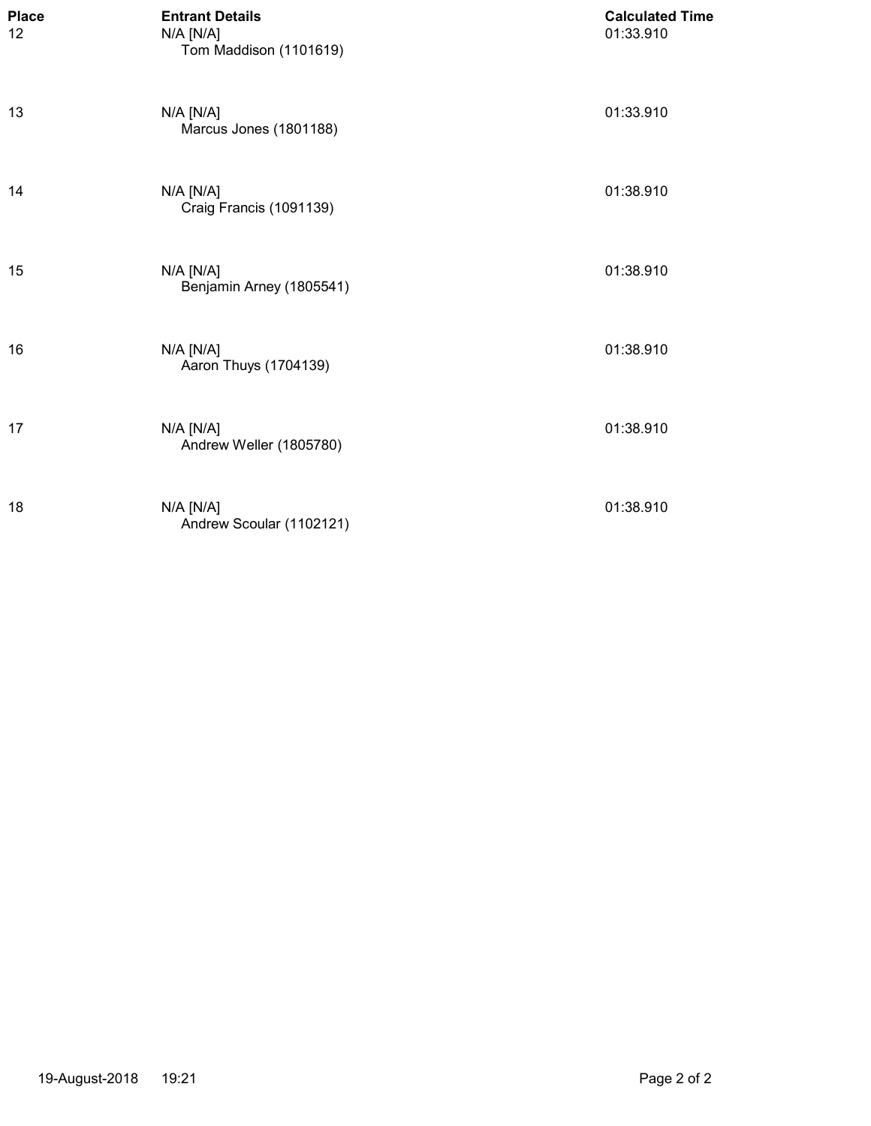| <b>Place</b><br>12 | <b>Entrant Details</b><br>N/A [N/A]<br>Tom Maddison (1101619) | <b>Calculated Time</b><br>01:33.910 |
|--------------------|---------------------------------------------------------------|-------------------------------------|
| 13                 | N/A [N/A]<br>Marcus Jones (1801188)                           | 01:33.910                           |
| 14                 | N/A [N/A]<br>Craig Francis (1091139)                          | 01:38.910                           |
| 15                 | N/A [N/A]<br>Benjamin Arney (1805541)                         | 01:38.910                           |
| 16                 | N/A [N/A]<br>Aaron Thuys (1704139)                            | 01:38.910                           |
| 17                 | N/A [N/A]<br>Andrew Weller (1805780)                          | 01:38.910                           |
| 18                 | N/A [N/A]<br>Andrew Scoular (1102121)                         | 01:38.910                           |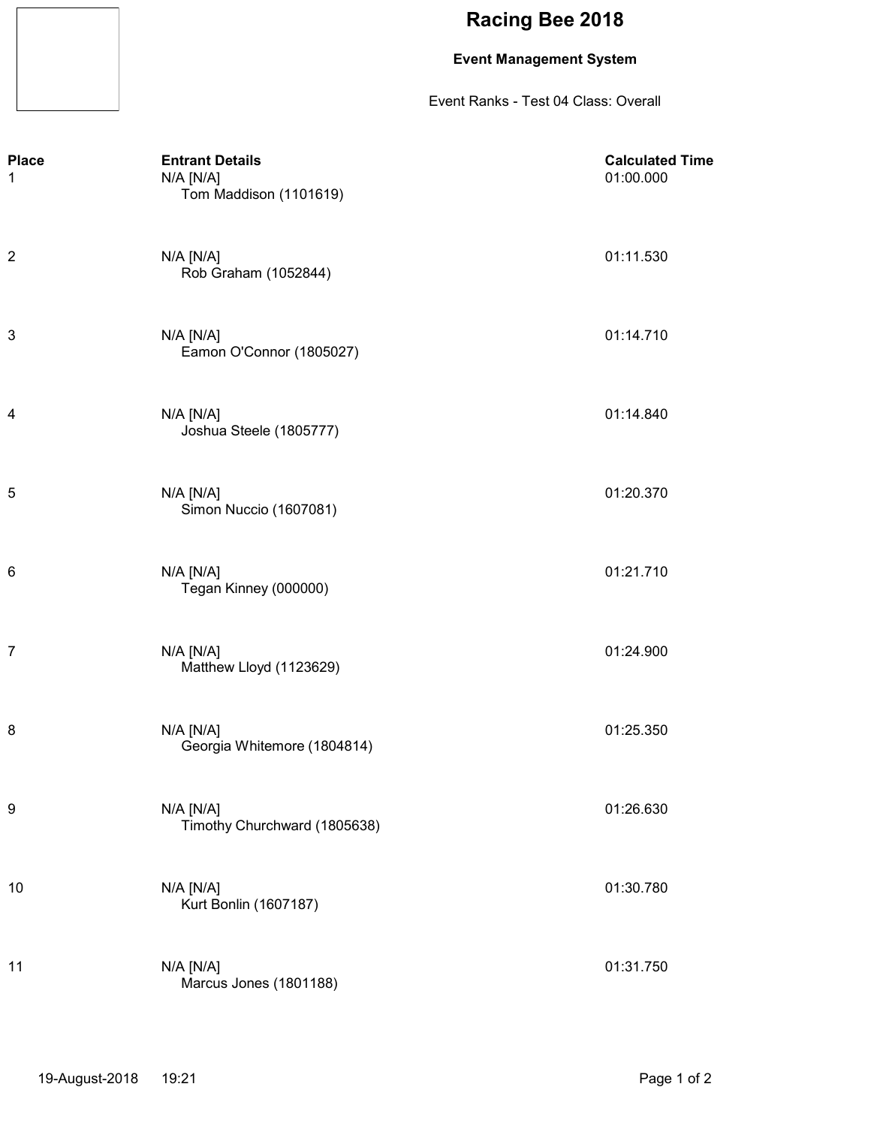### **Event Management System**

Event Ranks - Test 04 Class: Overall

| <b>Place</b><br>1 | <b>Entrant Details</b><br>N/A [N/A]<br>Tom Maddison (1101619) | <b>Calculated Time</b><br>01:00.000 |
|-------------------|---------------------------------------------------------------|-------------------------------------|
| $\boldsymbol{2}$  | N/A [N/A]<br>Rob Graham (1052844)                             | 01:11.530                           |
| 3                 | $N/A$ $[N/A]$<br>Eamon O'Connor (1805027)                     | 01:14.710                           |
| 4                 | N/A [N/A]<br>Joshua Steele (1805777)                          | 01:14.840                           |
| 5                 | N/A [N/A]<br>Simon Nuccio (1607081)                           | 01:20.370                           |
| 6                 | $N/A$ $[N/A]$<br>Tegan Kinney (000000)                        | 01:21.710                           |
| $\overline{7}$    | $N/A$ $[N/A]$<br>Matthew Lloyd (1123629)                      | 01:24.900                           |
| 8                 | $N/A$ $[N/A]$<br>Georgia Whitemore (1804814)                  | 01:25.350                           |
| 9                 | N/A [N/A]<br>Timothy Churchward (1805638)                     | 01:26.630                           |
| 10                | N/A [N/A]<br>Kurt Bonlin (1607187)                            | 01:30.780                           |
| 11                | N/A [N/A]<br>Marcus Jones (1801188)                           | 01:31.750                           |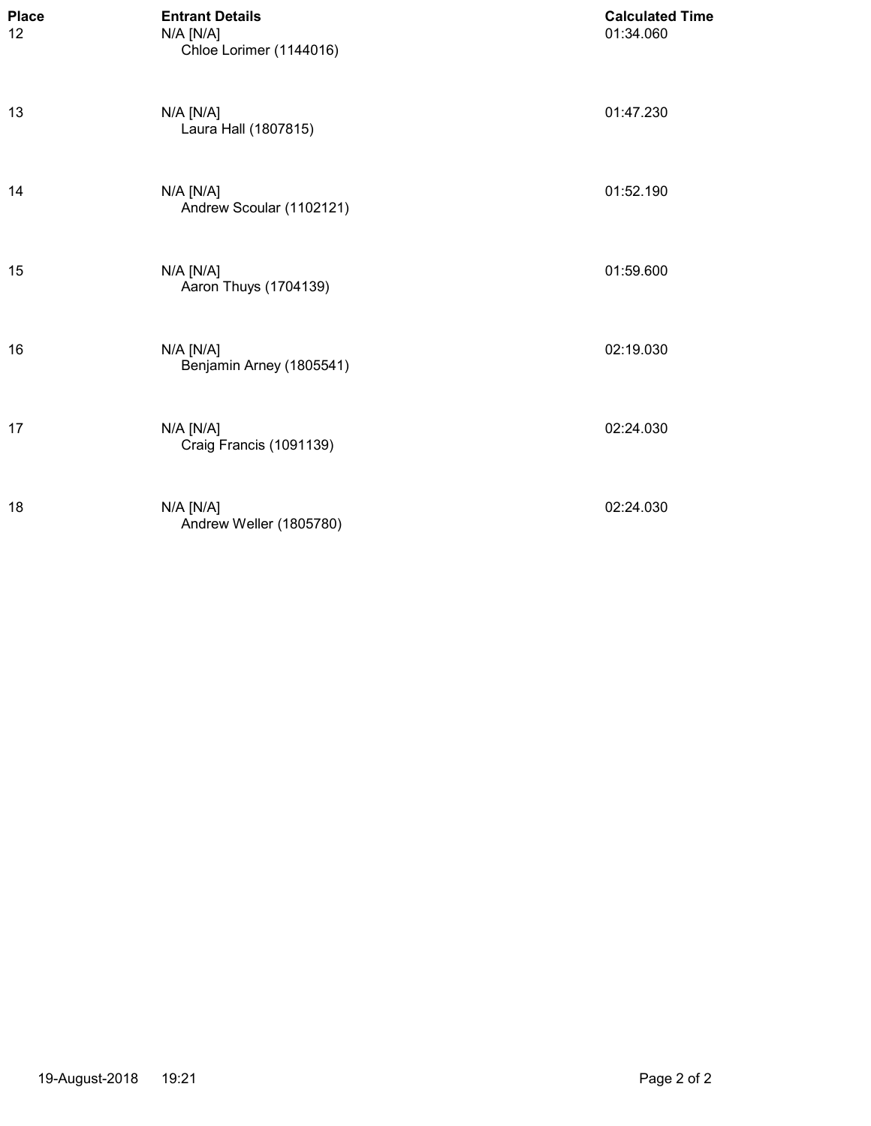| <b>Place</b><br>12 | <b>Entrant Details</b><br>N/A [N/A]<br>Chloe Lorimer (1144016) | <b>Calculated Time</b><br>01:34.060 |
|--------------------|----------------------------------------------------------------|-------------------------------------|
| 13                 | N/A [N/A]<br>Laura Hall (1807815)                              | 01:47.230                           |
| 14                 | $N/A$ $[N/A]$<br>Andrew Scoular (1102121)                      | 01:52.190                           |
| 15                 | N/A [N/A]<br>Aaron Thuys (1704139)                             | 01:59.600                           |
| 16                 | $N/A$ $[N/A]$<br>Benjamin Arney (1805541)                      | 02:19.030                           |
| 17                 | N/A [N/A]<br>Craig Francis (1091139)                           | 02:24.030                           |
| 18                 | N/A [N/A]<br>Andrew Weller (1805780)                           | 02:24.030                           |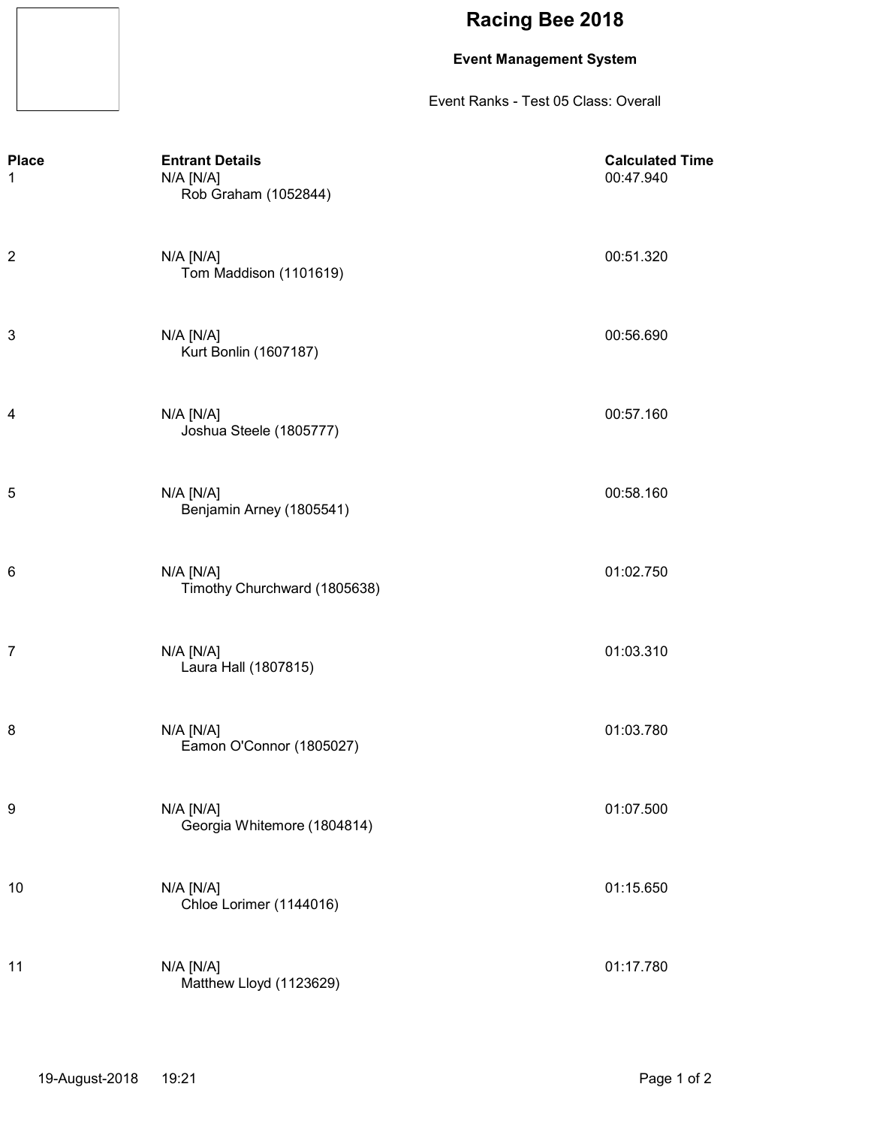### **Event Management System**

Event Ranks - Test 05 Class: Overall

| <b>Place</b><br>1 | <b>Entrant Details</b><br>N/A [N/A]<br>Rob Graham (1052844) | <b>Calculated Time</b><br>00:47.940 |
|-------------------|-------------------------------------------------------------|-------------------------------------|
| $\overline{c}$    | $N/A$ $[N/A]$<br>Tom Maddison (1101619)                     | 00:51.320                           |
| 3                 | $N/A$ $[N/A]$<br>Kurt Bonlin (1607187)                      | 00:56.690                           |
| 4                 | $N/A$ $[N/A]$<br>Joshua Steele (1805777)                    | 00:57.160                           |
| 5                 | $N/A$ $[N/A]$<br>Benjamin Arney (1805541)                   | 00:58.160                           |
| 6                 | N/A [N/A]<br>Timothy Churchward (1805638)                   | 01:02.750                           |
| $\overline{7}$    | $N/A$ $[N/A]$<br>Laura Hall (1807815)                       | 01:03.310                           |
| 8                 | $N/A$ $[N/A]$<br>Eamon O'Connor (1805027)                   | 01:03.780                           |
| 9                 | N/A [N/A]<br>Georgia Whitemore (1804814)                    | 01:07.500                           |
| 10                | N/A [N/A]<br>Chloe Lorimer (1144016)                        | 01:15.650                           |
| 11                | N/A [N/A]<br>Matthew Lloyd (1123629)                        | 01:17.780                           |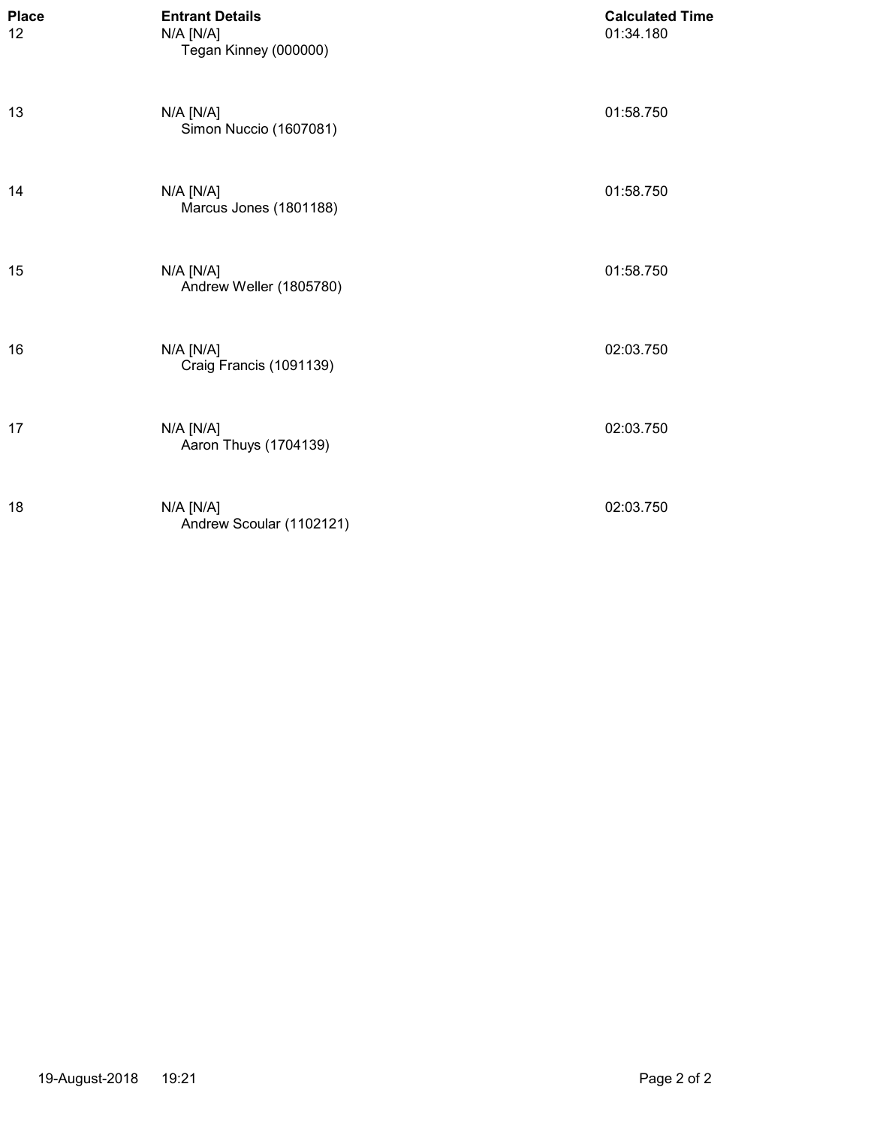| <b>Place</b><br>12 | <b>Entrant Details</b><br>$N/A$ $[N/A]$<br>Tegan Kinney (000000) | <b>Calculated Time</b><br>01:34.180 |
|--------------------|------------------------------------------------------------------|-------------------------------------|
| 13                 | $N/A$ $[N/A]$<br>Simon Nuccio (1607081)                          | 01:58.750                           |
| 14                 | $N/A$ $[N/A]$<br>Marcus Jones (1801188)                          | 01:58.750                           |
| 15                 | $N/A$ $[N/A]$<br>Andrew Weller (1805780)                         | 01:58.750                           |
| 16                 | $N/A$ $[N/A]$<br>Craig Francis (1091139)                         | 02:03.750                           |
| 17                 | $N/A$ $[N/A]$<br>Aaron Thuys (1704139)                           | 02:03.750                           |
| 18                 | N/A [N/A]<br>Andrew Scoular (1102121)                            | 02:03.750                           |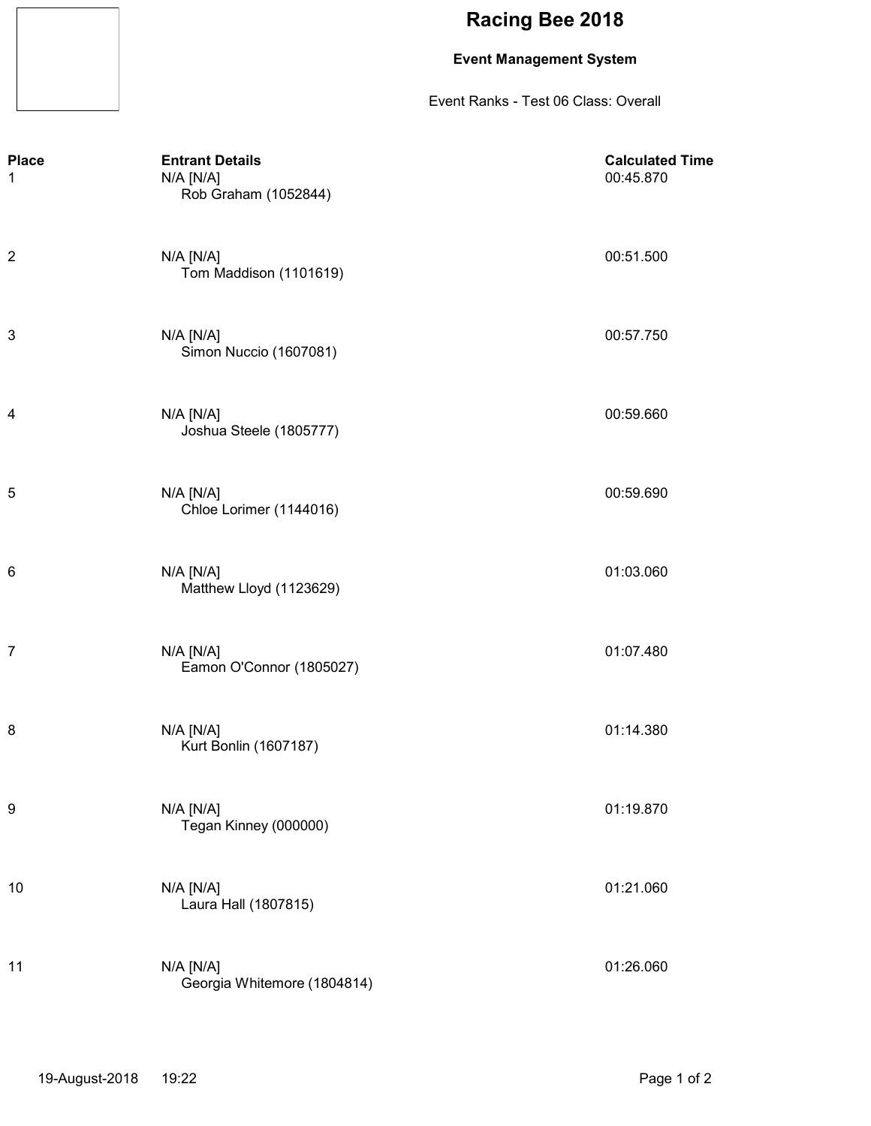### **Event Management System**

Event Ranks - Test 06 Class: Overall

| <b>Place</b><br>1       | <b>Entrant Details</b><br>N/A [N/A]<br>Rob Graham (1052844) | <b>Calculated Time</b><br>00:45.870 |
|-------------------------|-------------------------------------------------------------|-------------------------------------|
| $\overline{\mathbf{c}}$ | $N/A$ $[N/A]$<br>Tom Maddison (1101619)                     | 00:51.500                           |
| 3                       | $N/A$ $[N/A]$<br>Simon Nuccio (1607081)                     | 00:57.750                           |
| 4                       | $N/A$ $[N/A]$<br>Joshua Steele (1805777)                    | 00:59.660                           |
| 5                       | N/A [N/A]<br>Chloe Lorimer (1144016)                        | 00:59.690                           |
| 6                       | $N/A$ $[N/A]$<br>Matthew Lloyd (1123629)                    | 01:03.060                           |
| 7                       | $N/A$ $[N/A]$<br>Eamon O'Connor (1805027)                   | 01:07.480                           |
| 8                       | $N/A$ $[N/A]$<br>Kurt Bonlin (1607187)                      | 01:14.380                           |
| 9                       | N/A [N/A]<br>Tegan Kinney (000000)                          | 01:19.870                           |
| 10                      | N/A [N/A]<br>Laura Hall (1807815)                           | 01:21.060                           |
| 11                      | N/A [N/A]<br>Georgia Whitemore (1804814)                    | 01:26.060                           |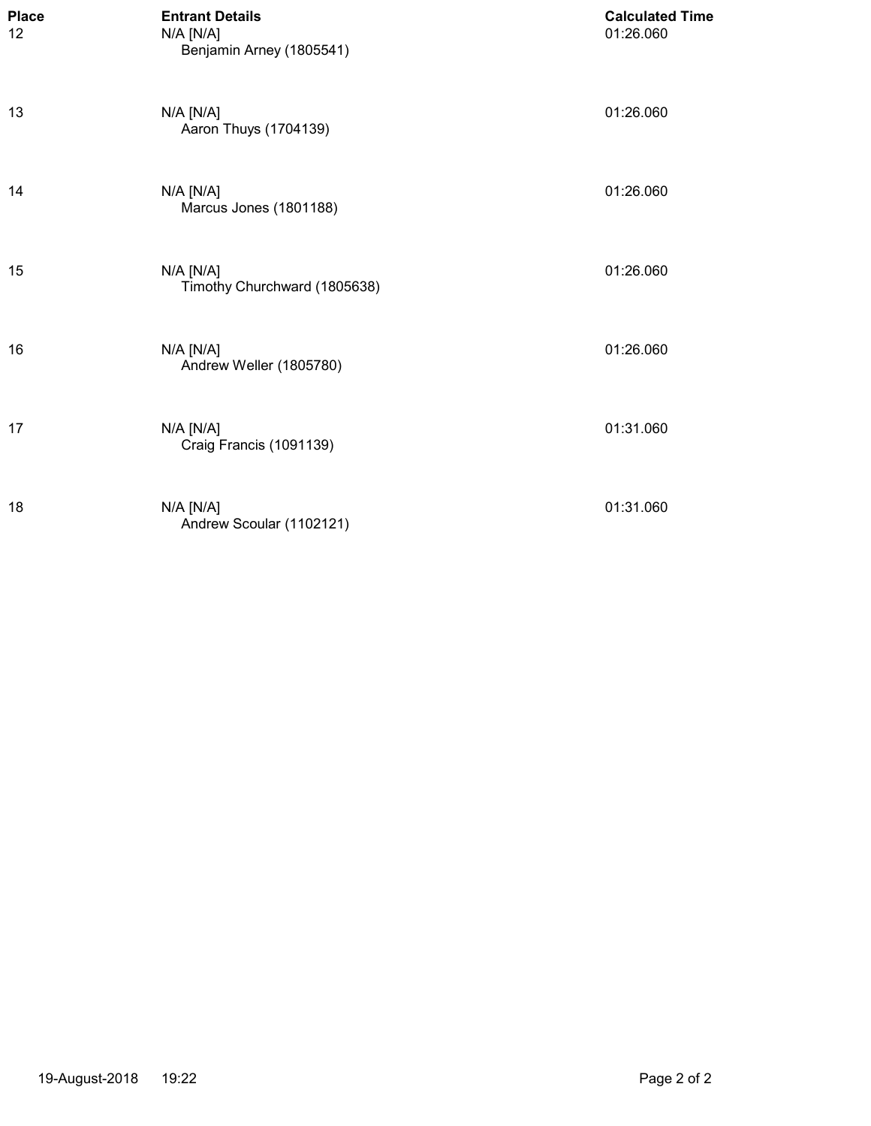| <b>Place</b><br>12 | <b>Entrant Details</b><br>N/A [N/A]<br>Benjamin Arney (1805541) | <b>Calculated Time</b><br>01:26.060 |
|--------------------|-----------------------------------------------------------------|-------------------------------------|
| 13                 | $N/A$ $[N/A]$<br>Aaron Thuys (1704139)                          | 01:26.060                           |
| 14                 | $N/A$ $[N/A]$<br>Marcus Jones (1801188)                         | 01:26.060                           |
| 15                 | N/A [N/A]<br>Timothy Churchward (1805638)                       | 01:26.060                           |
| 16                 | $N/A$ $[N/A]$<br>Andrew Weller (1805780)                        | 01:26.060                           |
| 17                 | $N/A$ $[N/A]$<br>Craig Francis (1091139)                        | 01:31.060                           |
| 18                 | $N/A$ $[N/A]$<br>Andrew Scoular (1102121)                       | 01:31.060                           |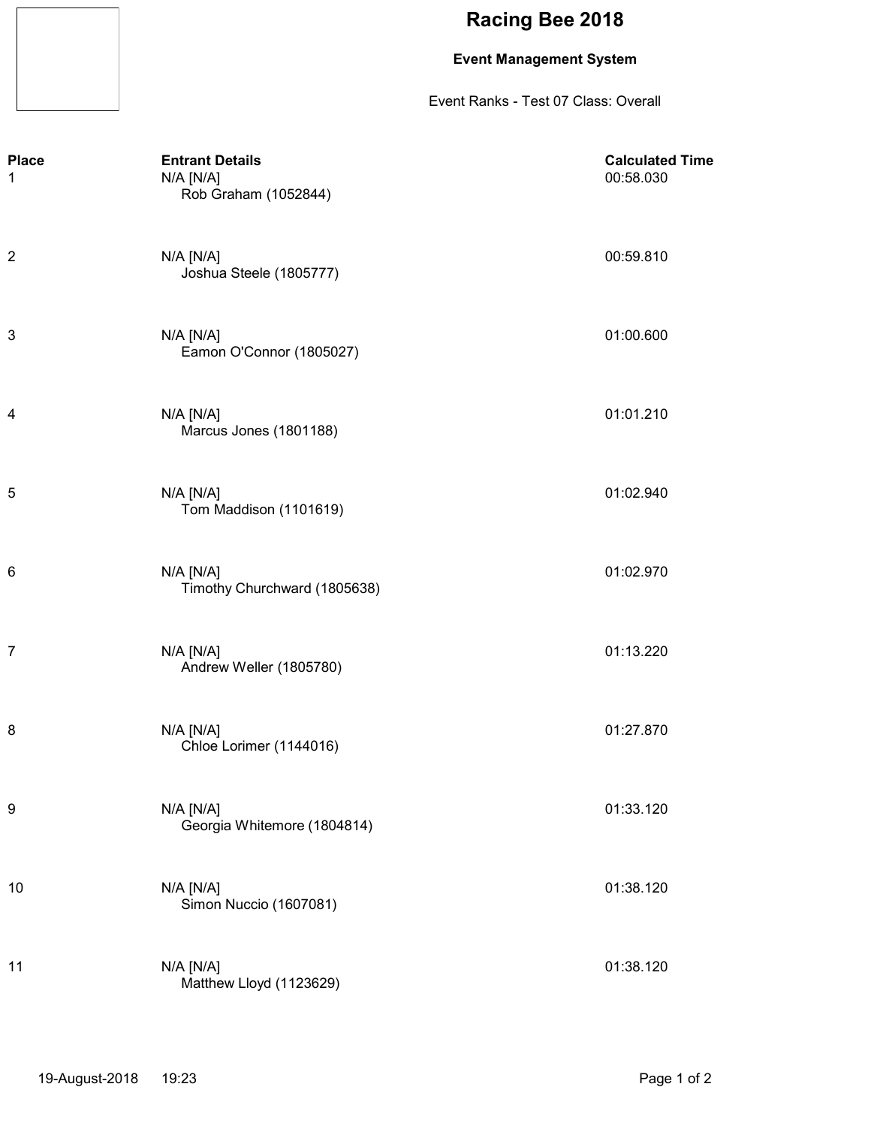### **Event Management System**

Event Ranks - Test 07 Class: Overall

| <b>Place</b><br>1 | <b>Entrant Details</b><br>N/A [N/A]<br>Rob Graham (1052844) | <b>Calculated Time</b><br>00:58.030 |
|-------------------|-------------------------------------------------------------|-------------------------------------|
| $\overline{c}$    | $N/A$ $[N/A]$<br>Joshua Steele (1805777)                    | 00:59.810                           |
| 3                 | $N/A$ $[N/A]$<br>Eamon O'Connor (1805027)                   | 01:00.600                           |
| 4                 | $N/A$ $[N/A]$<br>Marcus Jones (1801188)                     | 01:01.210                           |
| 5                 | $N/A$ $[N/A]$<br>Tom Maddison (1101619)                     | 01:02.940                           |
| 6                 | $N/A$ $[N/A]$<br>Timothy Churchward (1805638)               | 01:02.970                           |
| $\overline{7}$    | $N/A$ $[N/A]$<br>Andrew Weller (1805780)                    | 01:13.220                           |
| 8                 | $N/A$ $[N/A]$<br>Chloe Lorimer (1144016)                    | 01:27.870                           |
| 9                 | N/A [N/A]<br>Georgia Whitemore (1804814)                    | 01:33.120                           |
| 10                | N/A [N/A]<br>Simon Nuccio (1607081)                         | 01:38.120                           |
| 11                | N/A [N/A]<br>Matthew Lloyd (1123629)                        | 01:38.120                           |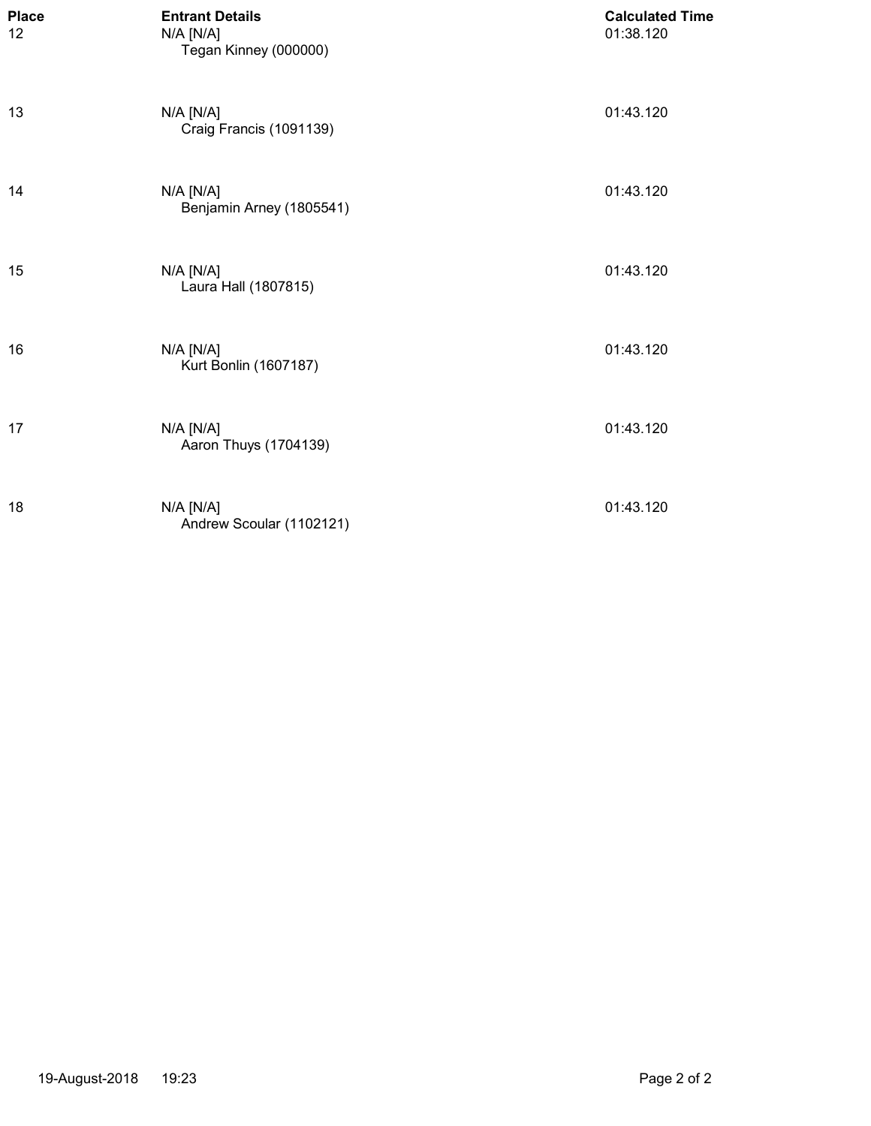| <b>Place</b><br>12 | <b>Entrant Details</b><br>N/A [N/A]<br>Tegan Kinney (000000) | <b>Calculated Time</b><br>01:38.120 |
|--------------------|--------------------------------------------------------------|-------------------------------------|
| 13                 | N/A [N/A]<br>Craig Francis (1091139)                         | 01:43.120                           |
| 14                 | N/A [N/A]<br>Benjamin Arney (1805541)                        | 01:43.120                           |
| 15                 | N/A [N/A]<br>Laura Hall (1807815)                            | 01:43.120                           |
| 16                 | N/A [N/A]<br>Kurt Bonlin (1607187)                           | 01:43.120                           |
| 17                 | N/A [N/A]<br>Aaron Thuys (1704139)                           | 01:43.120                           |
| 18                 | N/A [N/A]<br>Andrew Scoular (1102121)                        | 01:43.120                           |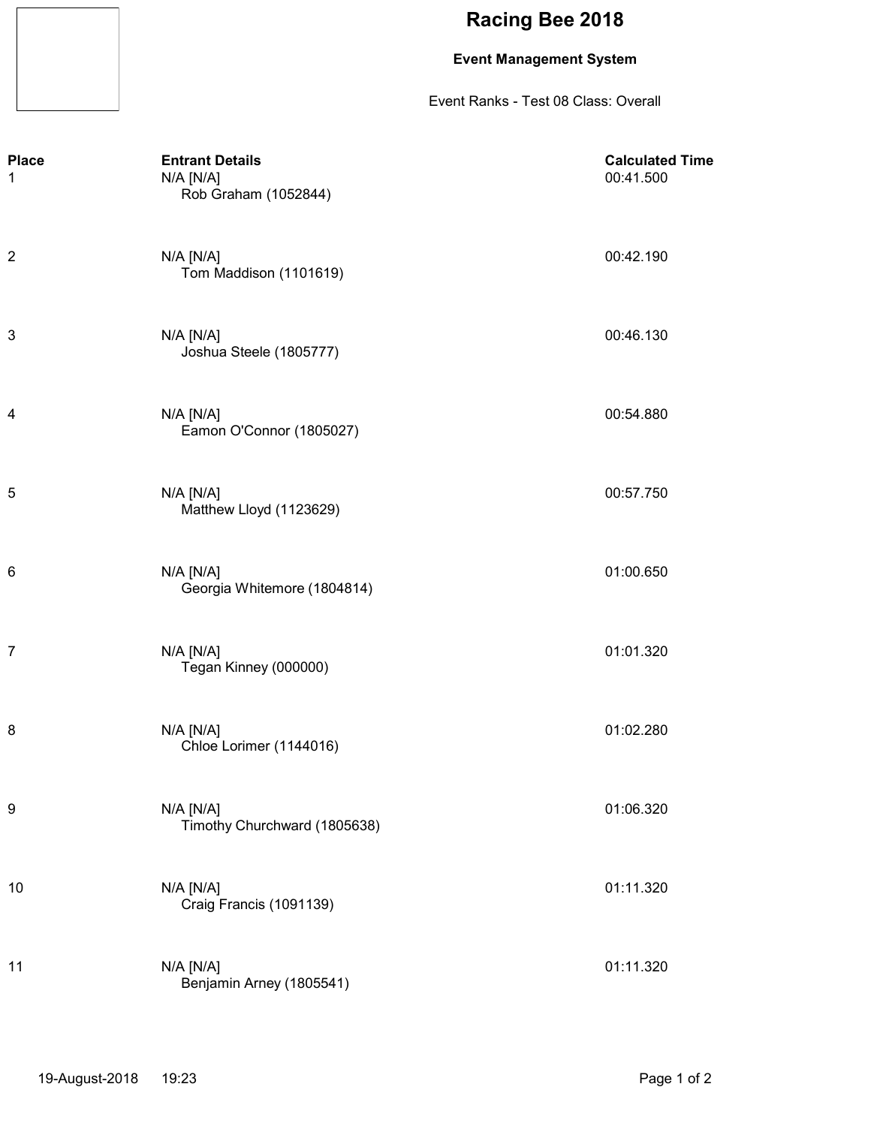### **Event Management System**

Event Ranks - Test 08 Class: Overall

| <b>Place</b><br>1 | <b>Entrant Details</b><br>N/A [N/A]<br>Rob Graham (1052844) | <b>Calculated Time</b><br>00:41.500 |
|-------------------|-------------------------------------------------------------|-------------------------------------|
| $\overline{c}$    | $N/A$ $[N/A]$<br>Tom Maddison (1101619)                     | 00:42.190                           |
| 3                 | N/A [N/A]<br>Joshua Steele (1805777)                        | 00:46.130                           |
| 4                 | $N/A$ $[N/A]$<br>Eamon O'Connor (1805027)                   | 00:54.880                           |
| 5                 | $N/A$ $[N/A]$<br>Matthew Lloyd (1123629)                    | 00:57.750                           |
| 6                 | N/A [N/A]<br>Georgia Whitemore (1804814)                    | 01:00.650                           |
| $\overline{7}$    | N/A [N/A]<br>Tegan Kinney (000000)                          | 01:01.320                           |
| 8                 | $N/A$ $[N/A]$<br>Chloe Lorimer (1144016)                    | 01:02.280                           |
| 9                 | N/A [N/A]<br>Timothy Churchward (1805638)                   | 01:06.320                           |
| 10                | N/A [N/A]<br>Craig Francis (1091139)                        | 01:11.320                           |
| 11                | N/A [N/A]<br>Benjamin Arney (1805541)                       | 01:11.320                           |